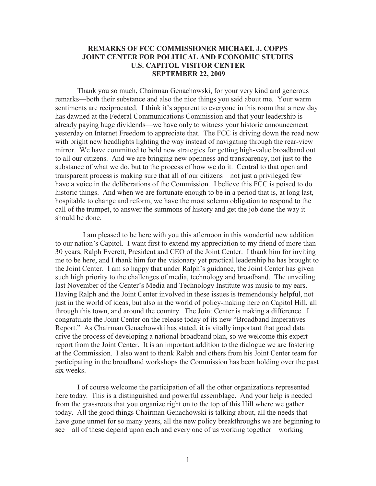## **REMARKS OF FCC COMMISSIONER MICHAEL J. COPPS JOINT CENTER FOR POLITICAL AND ECONOMIC STUDIES U.S. CAPITOL VISITOR CENTER SEPTEMBER 22, 2009**

Thank you so much, Chairman Genachowski, for your very kind and generous remarks—both their substance and also the nice things you said about me. Your warm sentiments are reciprocated. I think it's apparent to everyone in this room that a new day has dawned at the Federal Communications Commission and that your leadership is already paying huge dividends—we have only to witness your historic announcement yesterday on Internet Freedom to appreciate that. The FCC is driving down the road now with bright new headlights lighting the way instead of navigating through the rear-view mirror. We have committed to bold new strategies for getting high-value broadband out to all our citizens. And we are bringing new openness and transparency, not just to the substance of what we do, but to the process of how we do it. Central to that open and transparent process is making sure that all of our citizens—not just a privileged few have a voice in the deliberations of the Commission. I believe this FCC is poised to do historic things. And when we are fortunate enough to be in a period that is, at long last, hospitable to change and reform, we have the most solemn obligation to respond to the call of the trumpet, to answer the summons of history and get the job done the way it should be done.

I am pleased to be here with you this afternoon in this wonderful new addition to our nation's Capitol. I want first to extend my appreciation to my friend of more than 30 years, Ralph Everett, President and CEO of the Joint Center. I thank him for inviting me to be here, and I thank him for the visionary yet practical leadership he has brought to the Joint Center. I am so happy that under Ralph's guidance, the Joint Center has given such high priority to the challenges of media, technology and broadband. The unveiling last November of the Center's Media and Technology Institute was music to my ears. Having Ralph and the Joint Center involved in these issues is tremendously helpful, not just in the world of ideas, but also in the world of policy-making here on Capitol Hill, all through this town, and around the country. The Joint Center is making a difference. I congratulate the Joint Center on the release today of its new "Broadband Imperatives Report." As Chairman Genachowski has stated, it is vitally important that good data drive the process of developing a national broadband plan, so we welcome this expert report from the Joint Center. It is an important addition to the dialogue we are fostering at the Commission. I also want to thank Ralph and others from his Joint Center team for participating in the broadband workshops the Commission has been holding over the past six weeks.

I of course welcome the participation of all the other organizations represented here today. This is a distinguished and powerful assemblage. And your help is needed from the grassroots that you organize right on to the top of this Hill where we gather today. All the good things Chairman Genachowski is talking about, all the needs that have gone unmet for so many years, all the new policy breakthroughs we are beginning to see—all of these depend upon each and every one of us working together—working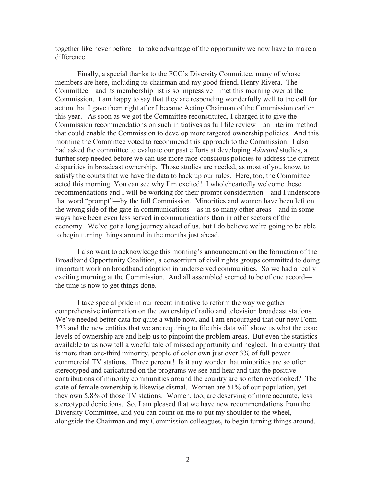together like never before—to take advantage of the opportunity we now have to make a difference.

Finally, a special thanks to the FCC's Diversity Committee, many of whose members are here, including its chairman and my good friend, Henry Rivera. The Committee—and its membership list is so impressive—met this morning over at the Commission. I am happy to say that they are responding wonderfully well to the call for action that I gave them right after I became Acting Chairman of the Commission earlier this year. As soon as we got the Committee reconstituted, I charged it to give the Commission recommendations on such initiatives as full file review—an interim method that could enable the Commission to develop more targeted ownership policies. And this morning the Committee voted to recommend this approach to the Commission. I also had asked the committee to evaluate our past efforts at developing *Adarand* studies, a further step needed before we can use more race-conscious policies to address the current disparities in broadcast ownership. Those studies are needed, as most of you know, to satisfy the courts that we have the data to back up our rules. Here, too, the Committee acted this morning. You can see why I'm excited! I wholeheartedly welcome these recommendations and I will be working for their prompt consideration—and I underscore that word "prompt"—by the full Commission. Minorities and women have been left on the wrong side of the gate in communications—as in so many other areas—and in some ways have been even less served in communications than in other sectors of the economy. We've got a long journey ahead of us, but I do believe we're going to be able to begin turning things around in the months just ahead.

I also want to acknowledge this morning's announcement on the formation of the Broadband Opportunity Coalition, a consortium of civil rights groups committed to doing important work on broadband adoption in underserved communities. So we had a really exciting morning at the Commission. And all assembled seemed to be of one accord the time is now to get things done.

I take special pride in our recent initiative to reform the way we gather comprehensive information on the ownership of radio and television broadcast stations. We've needed better data for quite a while now, and I am encouraged that our new Form 323 and the new entities that we are requiring to file this data will show us what the exact levels of ownership are and help us to pinpoint the problem areas. But even the statistics available to us now tell a woeful tale of missed opportunity and neglect. In a country that is more than one-third minority, people of color own just over 3% of full power commercial TV stations. Three percent! Is it any wonder that minorities are so often stereotyped and caricatured on the programs we see and hear and that the positive contributions of minority communities around the country are so often overlooked? The state of female ownership is likewise dismal. Women are 51% of our population, yet they own 5.8% of those TV stations. Women, too, are deserving of more accurate, less stereotyped depictions. So, I am pleased that we have new recommendations from the Diversity Committee, and you can count on me to put my shoulder to the wheel, alongside the Chairman and my Commission colleagues, to begin turning things around.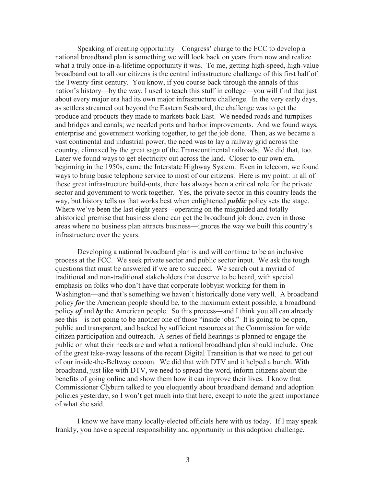Speaking of creating opportunity—Congress' charge to the FCC to develop a national broadband plan is something we will look back on years from now and realize what a truly once-in-a-lifetime opportunity it was. To me, getting high-speed, high-value broadband out to all our citizens is the central infrastructure challenge of this first half of the Twenty-first century. You know, if you course back through the annals of this nation's history—by the way, I used to teach this stuff in college—you will find that just about every major era had its own major infrastructure challenge. In the very early days, as settlers streamed out beyond the Eastern Seaboard, the challenge was to get the produce and products they made to markets back East. We needed roads and turnpikes and bridges and canals; we needed ports and harbor improvements. And we found ways, enterprise and government working together, to get the job done. Then, as we became a vast continental and industrial power, the need was to lay a railway grid across the country, climaxed by the great saga of the Transcontinental railroads. We did that, too. Later we found ways to get electricity out across the land. Closer to our own era, beginning in the 1950s, came the Interstate Highway System. Even in telecom, we found ways to bring basic telephone service to most of our citizens. Here is my point: in all of these great infrastructure build-outs, there has always been a critical role for the private sector and government to work together. Yes, the private sector in this country leads the way, but history tells us that works best when enlightened *public* policy sets the stage. Where we've been the last eight years—operating on the misguided and totally ahistorical premise that business alone can get the broadband job done, even in those areas where no business plan attracts business—ignores the way we built this country's infrastructure over the years.

Developing a national broadband plan is and will continue to be an inclusive process at the FCC. We seek private sector and public sector input. We ask the tough questions that must be answered if we are to succeed. We search out a myriad of traditional and non-traditional stakeholders that deserve to be heard, with special emphasis on folks who don't have that corporate lobbyist working for them in Washington—and that's something we haven't historically done very well. A broadband policy *for* the American people should be, to the maximum extent possible, a broadband policy *of* and *by* the American people. So this process—and I think you all can already see this—is not going to be another one of those "inside jobs." It is going to be open, public and transparent, and backed by sufficient resources at the Commission for wide citizen participation and outreach. A series of field hearings is planned to engage the public on what their needs are and what a national broadband plan should include. One of the great take-away lessons of the recent Digital Transition is that we need to get out of our inside-the-Beltway cocoon. We did that with DTV and it helped a bunch. With broadband, just like with DTV, we need to spread the word, inform citizens about the benefits of going online and show them how it can improve their lives. I know that Commissioner Clyburn talked to you eloquently about broadband demand and adoption policies yesterday, so I won't get much into that here, except to note the great importance of what she said.

I know we have many locally-elected officials here with us today. If I may speak frankly, you have a special responsibility and opportunity in this adoption challenge.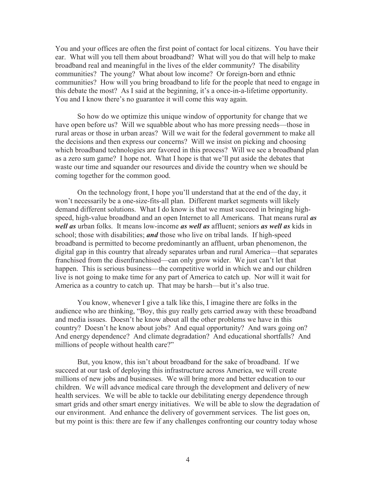You and your offices are often the first point of contact for local citizens. You have their ear. What will you tell them about broadband? What will you do that will help to make broadband real and meaningful in the lives of the elder community? The disability communities? The young? What about low income? Or foreign-born and ethnic communities? How will you bring broadband to life for the people that need to engage in this debate the most? As I said at the beginning, it's a once-in-a-lifetime opportunity. You and I know there's no guarantee it will come this way again.

So how do we optimize this unique window of opportunity for change that we have open before us? Will we squabble about who has more pressing needs—those in rural areas or those in urban areas? Will we wait for the federal government to make all the decisions and then express our concerns? Will we insist on picking and choosing which broadband technologies are favored in this process? Will we see a broadband plan as a zero sum game? I hope not. What I hope is that we'll put aside the debates that waste our time and squander our resources and divide the country when we should be coming together for the common good.

On the technology front, I hope you'll understand that at the end of the day, it won't necessarily be a one-size-fits-all plan. Different market segments will likely demand different solutions. What I do know is that we must succeed in bringing highspeed, high-value broadband and an open Internet to all Americans. That means rural *as well as* urban folks. It means low-income *as well as* affluent; seniors *as well as* kids in school; those with disabilities; *and* those who live on tribal lands. If high-speed broadband is permitted to become predominantly an affluent, urban phenomenon, the digital gap in this country that already separates urban and rural America—that separates franchised from the disenfranchised—can only grow wider. We just can't let that happen. This is serious business—the competitive world in which we and our children live is not going to make time for any part of America to catch up. Nor will it wait for America as a country to catch up. That may be harsh—but it's also true.

You know, whenever I give a talk like this, I imagine there are folks in the audience who are thinking, "Boy, this guy really gets carried away with these broadband and media issues. Doesn't he know about all the other problems we have in this country? Doesn't he know about jobs? And equal opportunity? And wars going on? And energy dependence? And climate degradation? And educational shortfalls? And millions of people without health care?"

But, you know, this isn't about broadband for the sake of broadband. If we succeed at our task of deploying this infrastructure across America, we will create millions of new jobs and businesses. We will bring more and better education to our children. We will advance medical care through the development and delivery of new health services. We will be able to tackle our debilitating energy dependence through smart grids and other smart energy initiatives. We will be able to slow the degradation of our environment. And enhance the delivery of government services. The list goes on, but my point is this: there are few if any challenges confronting our country today whose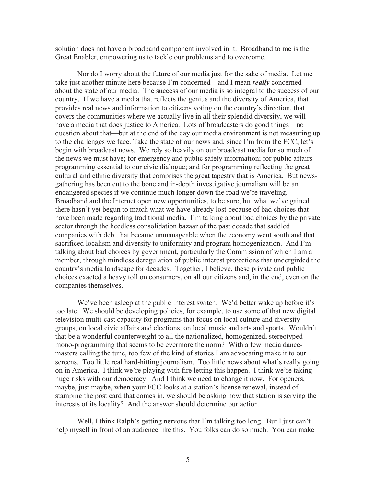solution does not have a broadband component involved in it. Broadband to me is the Great Enabler, empowering us to tackle our problems and to overcome.

Nor do I worry about the future of our media just for the sake of media. Let me take just another minute here because I'm concerned—and I mean *really* concerned about the state of our media. The success of our media is so integral to the success of our country. If we have a media that reflects the genius and the diversity of America, that provides real news and information to citizens voting on the country's direction, that covers the communities where we actually live in all their splendid diversity, we will have a media that does justice to America. Lots of broadcasters do good things—no question about that—but at the end of the day our media environment is not measuring up to the challenges we face. Take the state of our news and, since I'm from the FCC, let's begin with broadcast news. We rely so heavily on our broadcast media for so much of the news we must have; for emergency and public safety information; for public affairs programming essential to our civic dialogue; and for programming reflecting the great cultural and ethnic diversity that comprises the great tapestry that is America. But newsgathering has been cut to the bone and in-depth investigative journalism will be an endangered species if we continue much longer down the road we're traveling. Broadband and the Internet open new opportunities, to be sure, but what we've gained there hasn't yet begun to match what we have already lost because of bad choices that have been made regarding traditional media. I'm talking about bad choices by the private sector through the heedless consolidation bazaar of the past decade that saddled companies with debt that became unmanageable when the economy went south and that sacrificed localism and diversity to uniformity and program homogenization. And I'm talking about bad choices by government, particularly the Commission of which I am a member, through mindless deregulation of public interest protections that undergirded the country's media landscape for decades. Together, I believe, these private and public choices exacted a heavy toll on consumers, on all our citizens and, in the end, even on the companies themselves.

We've been asleep at the public interest switch. We'd better wake up before it's too late. We should be developing policies, for example, to use some of that new digital television multi-cast capacity for programs that focus on local culture and diversity groups, on local civic affairs and elections, on local music and arts and sports. Wouldn't that be a wonderful counterweight to all the nationalized, homogenized, stereotyped mono-programming that seems to be evermore the norm? With a few media dancemasters calling the tune, too few of the kind of stories I am advocating make it to our screens. Too little real hard-hitting journalism. Too little news about what's really going on in America. I think we're playing with fire letting this happen. I think we're taking huge risks with our democracy. And I think we need to change it now. For openers, maybe, just maybe, when your FCC looks at a station's license renewal, instead of stamping the post card that comes in, we should be asking how that station is serving the interests of its locality? And the answer should determine our action.

Well, I think Ralph's getting nervous that I'm talking too long. But I just can't help myself in front of an audience like this. You folks can do so much. You can make